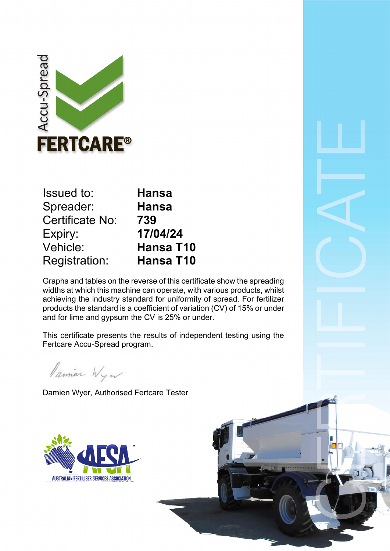

| <b>Issued to:</b>    | <b>Hansa</b>     |  |
|----------------------|------------------|--|
| Spreader:            | <b>Hansa</b>     |  |
| Certificate No:      | 739              |  |
| Expiry:              | 17/04/24         |  |
| Vehicle:             | <b>Hansa T10</b> |  |
| <b>Registration:</b> | <b>Hansa T10</b> |  |
|                      |                  |  |

Graphs and tables on the reverse of this certificate show the spreading widths at which this machine can operate, with various products, whilst achieving the industry standard for uniformity of spread. For fertilizer products the standard is a coefficient of variation (CV) of 15% or under and for lime and gypsum the CV is 25% or under.

This certificate presents the results of independent testing using the Fertcare Accu-Spread program.

Pamian Wyw

Damien Wyer, Authorised Fertcare Tester

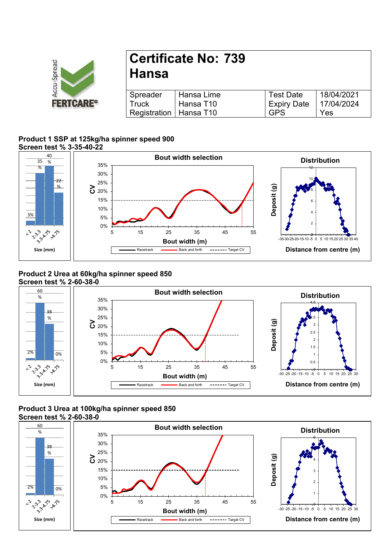

# **Certificate No: 739 Hansa**

| Spreader                 | l Hansa Lime | <b>Test Date</b>         | 18/04/2021 |
|--------------------------|--------------|--------------------------|------------|
| Truck                    | l Hansa T10  | Expiry Date   17/04/2024 |            |
| Registration   Hansa T10 |              | <b>GPS</b>               | Yes        |

#### **Product 1 SSP at 125kg/ha spinner speed 900 Screen test % 3-35-40-22**



### **Product 2 Urea at 60kg/ha spinner speed 850 Screen test % 2-60-38-0**



## **Product 3 Urea at 100kg/ha spinner speed 850 Screen test % 2-60-38-0**